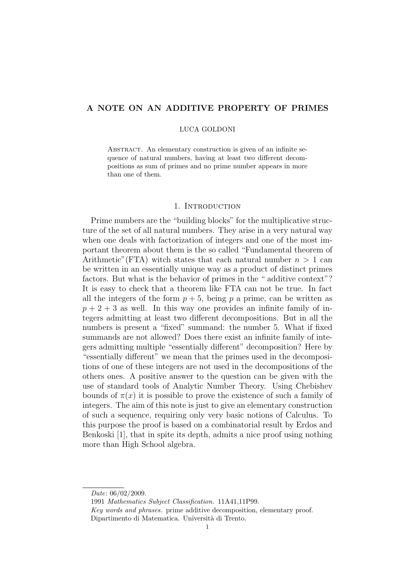# **A NOTE ON AN ADDITIVE PROPERTY OF PRIMES**

### LUCA GOLDONI

ABSTRACT. An elementary construction is given of an infinite sequence of natural numbers, having at least two different decompositions as sum of primes and no prime number appears in more than one of them.

## 1. INTRODUCTION

Prime numbers are the "building blocks" for the multiplicative structure of the set of all natural numbers. They arise in a very natural way when one deals with factorization of integers and one of the most important theorem about them is the so called "Fundamental theorem of Arithmetic" (FTA) witch states that each natural number  $n > 1$  can be written in an essentially unique way as a product of distinct primes factors. But what is the behavior of primes in the " additive context"? It is easy to check that a theorem like FTA can not be true. In fact all the integers of the form  $p + 5$ , being p a prime, can be written as  $p + 2 + 3$  as well. In this way one provides an infinite family of integers admitting at least two different decompositions. But in all the numbers is present a "fixed" summand: the number 5. What if fixed summands are not allowed? Does there exist an infinite family of integers admitting multiple "essentially different" decomposition? Here by "essentially different" we mean that the primes used in the decompositions of one of these integers are not used in the decompositions of the others ones. A positive answer to the question can be given with the use of standard tools of Analytic Number Theory. Using Chebishev bounds of  $\pi(x)$  it is possible to prove the existence of such a family of integers. The aim of this note is just to give an elementary construction of such a sequence, requiring only very basic notions of Calculus. To this purpose the proof is based on a combinatorial result by Erdos and Benkoski [1], that in spite its depth, admits a nice proof using nothing more than High School algebra.

1991 *Mathematics Subject Classification.* 11A41,11P99.

*Date*: 06/02/2009.

*Key words and phrases.* prime additive decomposition, elementary proof. Dipartimento di Matematica. Università di Trento.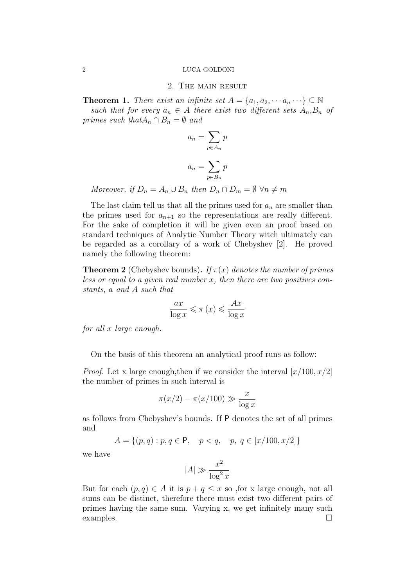#### 2 LUCA GOLDONI

### 2. The main result

**Theorem 1.** *There exist an infinite set*  $A = \{a_1, a_2, \dots a_n \dots \} \subseteq \mathbb{N}$ *such that for every*  $a_n \in A$  *there exist two different sets*  $A_n, B_n$  *of primes such that* $A_n \cap B_n = \emptyset$  *and* 

$$
a_n = \sum_{p \in A_n} p
$$

$$
a_n = \sum_{p \in B_n} p
$$

*Moreover, if*  $D_n = A_n \cup B_n$  *then*  $D_n \cap D_m = \emptyset \ \forall n \neq m$ 

The last claim tell us that all the primes used for *a<sup>n</sup>* are smaller than the primes used for  $a_{n+1}$  so the representations are really different. For the sake of completion it will be given even an proof based on standard techniques of Analytic Number Theory witch ultimately can be regarded as a corollary of a work of Chebyshev [2]. He proved namely the following theorem:

**Theorem 2** (Chebyshev bounds). If  $\pi(x)$  denotes the number of primes *less or equal to a given real number x, then there are two positives constants, a and A such that*

$$
\frac{ax}{\log x} \leqslant \pi(x) \leqslant \frac{Ax}{\log x}
$$

*for all x large enough.*

On the basis of this theorem an analytical proof runs as follow:

*Proof.* Let x large enough,then if we consider the interval [*x*/100*, x*/2] the number of primes in such interval is

$$
\pi(x/2) - \pi(x/100) \gg \frac{x}{\log x}
$$

as follows from Chebyshev's bounds. If P denotes the set of all primes and

$$
A = \{(p, q) : p, q \in \mathsf{P}, \quad p < q, \quad p, q \in [x/100, x/2] \}
$$

we have

$$
|A| \gg \frac{x^2}{\log^2 x}
$$

But for each  $(p, q) \in A$  it is  $p + q \leq x$  so , for x large enough, not all sums can be distinct, therefore there must exist two different pairs of primes having the same sum. Varying x, we get infinitely many such examples.  $\Box$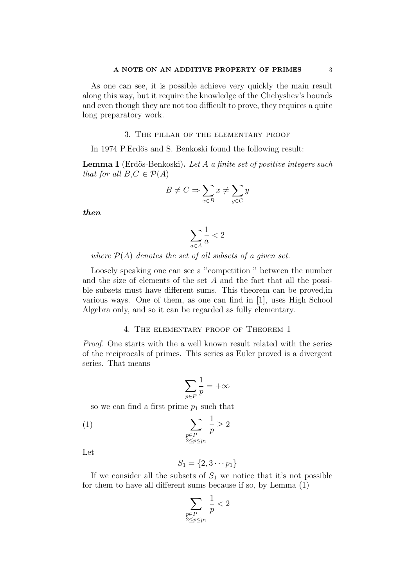As one can see, it is possible achieve very quickly the main result along this way, but it require the knowledge of the Chebyshev's bounds and even though they are not too difficult to prove, they requires a quite long preparatory work.

### 3. The pillar of the elementary proof

In 1974 P.Erdös and S. Benkoski found the following result:

**Lemma 1** (Erd¨os-Benkoski)**.** *Let A a finite set of positive integers such that for all*  $B, C \in \mathcal{P}(A)$ 

$$
B\neq C\Rightarrow \sum_{x\in B}x\neq \sum_{y\in C}y
$$

*then*

$$
\sum_{a \in A} \frac{1}{a} < 2
$$

*where P*(*A*) *denotes the set of all subsets of a given set.*

Loosely speaking one can see a "competition " between the number and the size of elements of the set *A* and the fact that all the possible subsets must have different sums. This theorem can be proved,in various ways. One of them, as one can find in [1], uses High School Algebra only, and so it can be regarded as fully elementary.

# 4. The elementary proof of Theorem 1

*Proof.* One starts with the a well known result related with the series of the reciprocals of primes. This series as Euler proved is a divergent series. That means

$$
\sum_{p\in P}\frac{1}{p}=+\infty
$$

so we can find a first prime  $p_1$  such that

$$
(1) \qquad \qquad \sum_{\substack{p \in P \\ 2 \le p \le p_1}} \frac{1}{p} \ge 2
$$

Let

$$
S_1 = \{2, 3 \cdots p_1\}
$$

If we consider all the subsets of  $S_1$  we notice that it's not possible for them to have all different sums because if so, by Lemma (1)

$$
\sum_{\substack{p \in P \\ 2 \le p \le p_1}} \frac{1}{p} < 2
$$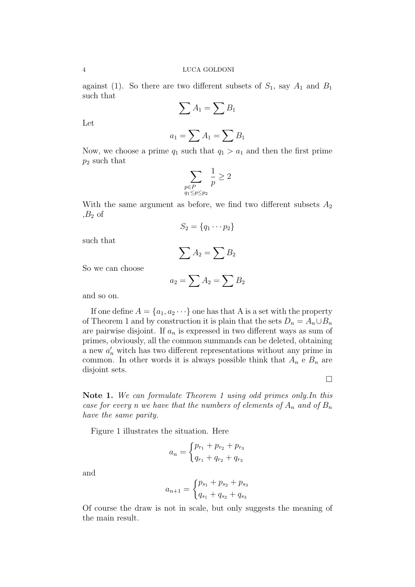against (1). So there are two different subsets of  $S_1$ , say  $A_1$  and  $B_1$ such that

$$
\sum A_1 = \sum B_1
$$

Let

$$
a_1 = \sum A_1 = \sum B_1
$$

Now, we choose a prime  $q_1$  such that  $q_1 > a_1$  and then the first prime *p*<sup>2</sup> such that

$$
\sum_{\substack{p \in P \\ q_1 \le p \le p_2}} \frac{1}{p} \ge 2
$$

With the same argument as before, we find two different subsets  $A_2$  $B_2$  of

$$
S_2 = \{q_1 \cdots p_2\}
$$

such that

$$
\sum A_2 = \sum B_2
$$

So we can choose

$$
a_2 = \sum A_2 = \sum B_2
$$

and so on.

If one define  $A = \{a_1, a_2 \cdots\}$  one has that A is a set with the property of Theorem 1 and by construction it is plain that the sets  $D_n = A_n \cup B_n$ are pairwise disjoint. If *a<sup>n</sup>* is expressed in two different ways as sum of primes, obviously, all the common summands can be deleted, obtaining a new  $a'_n$  witch has two different representations without any prime in common. In other words it is always possible think that  $A_n \in B_n$  are disjoint sets.

 $\Box$ 

**Note 1.** *We can formulate Theorem 1 using odd primes only.In this case for every n we have that the numbers of elements of*  $A_n$  *and of*  $B_n$ *have the same parity.*

Figure 1 illustrates the situation. Here

$$
a_n = \begin{cases} p_{r_1} + p_{r_2} + p_{r_3} \\ q_{r_1} + q_{r_2} + q_{r_3} \end{cases}
$$

and

$$
a_{n+1} = \begin{cases} p_{s_1} + p_{s_2} + p_{s_3} \\ q_{s_1} + q_{s_2} + q_{s_3} \end{cases}
$$

Of course the draw is not in scale, but only suggests the meaning of the main result.